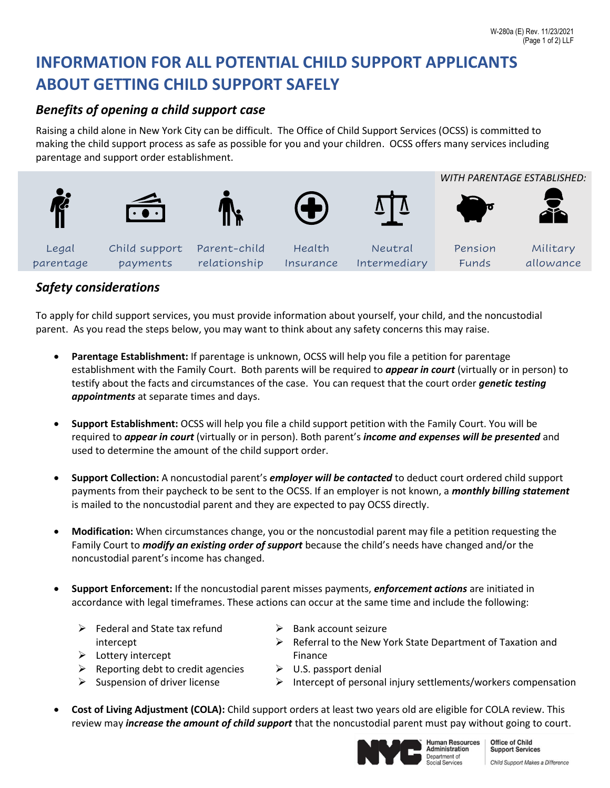# **INFORMATION FOR ALL POTENTIAL CHILD SUPPORT APPLICANTS ABOUT GETTING CHILD SUPPORT SAFELY**

## *Benefits of opening a child support case*

Raising a child alone in New York City can be difficult. The Office of Child Support Services (OCSS) is committed to making the child support process as safe as possible for you and your children. OCSS offers many services including parentage and support order establishment.



#### *Safety considerations*

To apply for child support services, you must provide information about yourself, your child, and the noncustodial parent. As you read the steps below, you may want to think about any safety concerns this may raise.

- **Parentage Establishment:** If parentage is unknown, OCSS will help you file a petition for parentage establishment with the Family Court. Both parents will be required to *appear in court* (virtually or in person) to testify about the facts and circumstances of the case. You can request that the court order *genetic testing appointments* at separate times and days.
- **Support Establishment:** OCSS will help you file a child support petition with the Family Court. You will be required to *appear in court* (virtually or in person). Both parent's *income and expenses will be presented* and used to determine the amount of the child support order.
- **Support Collection:** A noncustodial parent's *employer will be contacted* to deduct court ordered child support payments from their paycheck to be sent to the OCSS. If an employer is not known, a *monthly billing statement* is mailed to the noncustodial parent and they are expected to pay OCSS directly.
- **Modification:** When circumstances change, you or the noncustodial parent may file a petition requesting the Family Court to *modify an existing order of support* because the child's needs have changed and/or the noncustodial parent's income has changed.
- **Support Enforcement:** If the noncustodial parent misses payments, *enforcement actions* are initiated in accordance with legal timeframes. These actions can occur at the same time and include the following:
	- $\triangleright$  Federal and State tax refund intercept

 $\triangleright$  Suspension of driver license

- $\triangleright$  Bank account seizure
- ➢ Referral to the New York State Department of Taxation and Finance
- ➢ Lottery intercept
- $\triangleright$  Reporting debt to credit agencies
- $\triangleright$  U.S. passport denial
- $\triangleright$  Intercept of personal injury settlements/workers compensation
- **Cost of Living Adjustment (COLA):** Child support orders at least two years old are eligible for COLA review. This review may *increase the amount of child support* that the noncustodial parent must pay without going to court.



**Human Resources** Administration Department of<br>Social Services